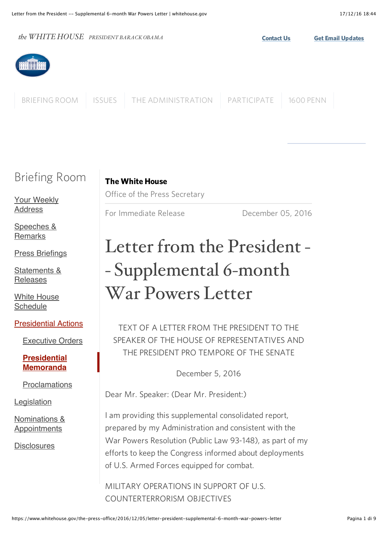the WHITE HOUSE PRESIDENT BARACK OBAMA [BRIEFING ROOM](https://www.whitehouse.gov/briefing-room) [ISSUES](https://www.whitehouse.gov/issues) [THE ADMINISTRATION](https://www.whitehouse.gov/administration) [PARTICIPATE](https://www.whitehouse.gov/participate) [1600 PENN](https://www.whitehouse.gov/1600)

# Briefing Room

[Your Weekly](https://www.whitehouse.gov/briefing-room/weekly-address) **Address** 

[Speeches &](https://www.whitehouse.gov/briefing-room/speeches-and-remarks) **Remarks** 

[Press Briefings](https://www.whitehouse.gov/briefing-room/press-briefings)

[Statements &](https://www.whitehouse.gov/briefing-room/statements-and-releases) Releases

[White House](https://www.whitehouse.gov/blog#today) **Schedule** 

[Presidential Actions](https://www.whitehouse.gov/briefing-room/presidential-actions)

[Executive Orders](https://www.whitehouse.gov/briefing-room/presidential-actions/executive-orders)

**[Presidential](https://www.whitehouse.gov/briefing-room/presidential-actions/presidential-memoranda) Memoranda**

[Proclamations](https://www.whitehouse.gov/briefing-room/presidential-actions/proclamations)

[Legislation](https://www.whitehouse.gov/briefing-room/legislation)

[Nominations &](https://www.whitehouse.gov/briefing-room/nominations-and-appointments) Appointments

**[Disclosures](https://www.whitehouse.gov/briefing-room/disclosures)** 

The White House Office of the Press Secretary

For Immediate Release December 05, 2016

# Letter from the President - - Supplemental 6-month War Powers Letter

TEXT OF A LETTER FROM THE PRESIDENT TO THE SPEAKER OF THE HOUSE OF REPRESENTATIVES AND THE PRESIDENT PRO TEMPORE OF THE SENATE

December 5, 2016

Dear Mr. Speaker: (Dear Mr. President:)

I am providing this supplemental consolidated report, prepared by my Administration and consistent with the War Powers Resolution (Public Law 93-148), as part of my efforts to keep the Congress informed about deployments of U.S. Armed Forces equipped for combat.

MILITARY OPERATIONS IN SUPPORT OF U.S. COUNTERTERRORISM OBJECTIVES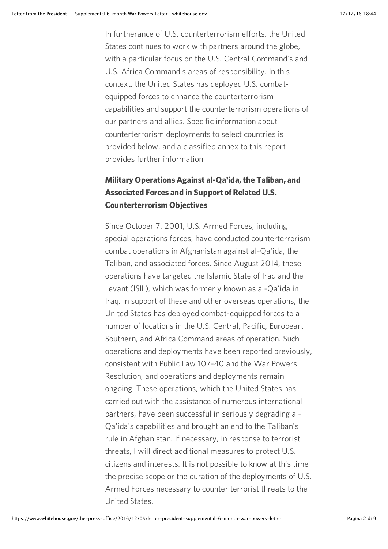In furtherance of U.S. counterterrorism efforts, the United States continues to work with partners around the globe, with a particular focus on the U.S. Central Command's and U.S. Africa Command's areas of responsibility. In this context, the United States has deployed U.S. combatequipped forces to enhance the counterterrorism capabilities and support the counterterrorism operations of our partners and allies. Specific information about counterterrorism deployments to select countries is provided below, and a classified annex to this report provides further information.

## Military Operations Against al-Qa'ida, the Taliban, and Associated Forces and in Support of Related U.S. Counterterrorism Objectives

Since October 7, 2001, U.S. Armed Forces, including special operations forces, have conducted counterterrorism combat operations in Afghanistan against al-Qa'ida, the Taliban, and associated forces. Since August 2014, these operations have targeted the Islamic State of Iraq and the Levant (ISIL), which was formerly known as al-Qa'ida in Iraq. In support of these and other overseas operations, the United States has deployed combat-equipped forces to a number of locations in the U.S. Central, Pacific, European, Southern, and Africa Command areas of operation. Such operations and deployments have been reported previously, consistent with Public Law 107-40 and the War Powers Resolution, and operations and deployments remain ongoing. These operations, which the United States has carried out with the assistance of numerous international partners, have been successful in seriously degrading al-Qa'ida's capabilities and brought an end to the Taliban's rule in Afghanistan. If necessary, in response to terrorist threats, I will direct additional measures to protect U.S. citizens and interests. It is not possible to know at this time the precise scope or the duration of the deployments of U.S. Armed Forces necessary to counter terrorist threats to the United States.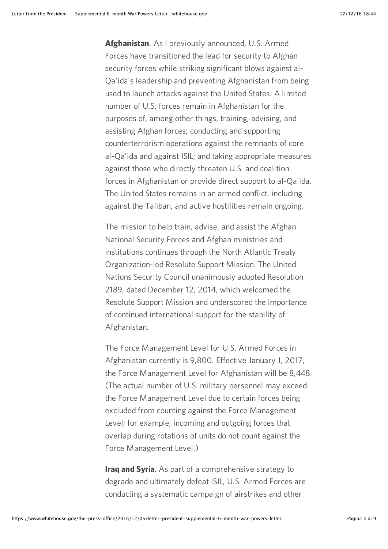Afghanistan. As I previously announced, U.S. Armed Forces have transitioned the lead for security to Afghan security forces while striking significant blows against al-Qa'ida's leadership and preventing Afghanistan from being used to launch attacks against the United States. A limited number of U.S. forces remain in Afghanistan for the purposes of, among other things, training, advising, and assisting Afghan forces; conducting and supporting counterterrorism operations against the remnants of core al-Qa'ida and against ISIL; and taking appropriate measures against those who directly threaten U.S. and coalition forces in Afghanistan or provide direct support to al-Qa'ida. The United States remains in an armed conflict, including against the Taliban, and active hostilities remain ongoing.

The mission to help train, advise, and assist the Afghan National Security Forces and Afghan ministries and institutions continues through the North Atlantic Treaty Organization-led Resolute Support Mission. The United Nations Security Council unanimously adopted Resolution 2189, dated December 12, 2014, which welcomed the Resolute Support Mission and underscored the importance of continued international support for the stability of Afghanistan.

The Force Management Level for U.S. Armed Forces in Afghanistan currently is 9,800. Effective January 1, 2017, the Force Management Level for Afghanistan will be 8,448. (The actual number of U.S. military personnel may exceed the Force Management Level due to certain forces being excluded from counting against the Force Management Level; for example, incoming and outgoing forces that overlap during rotations of units do not count against the Force Management Level.)

**Iraq and Syria.** As part of a comprehensive strategy to degrade and ultimately defeat ISIL, U.S. Armed Forces are conducting a systematic campaign of airstrikes and other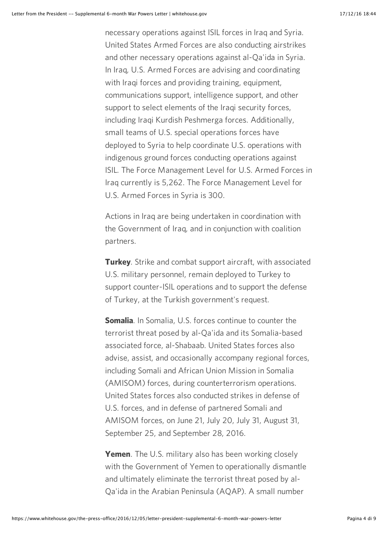necessary operations against ISIL forces in Iraq and Syria. United States Armed Forces are also conducting airstrikes and other necessary operations against al-Qa'ida in Syria. In Iraq, U.S. Armed Forces are advising and coordinating with Iraqi forces and providing training, equipment, communications support, intelligence support, and other support to select elements of the Iraqi security forces, including Iraqi Kurdish Peshmerga forces. Additionally, small teams of U.S. special operations forces have deployed to Syria to help coordinate U.S. operations with indigenous ground forces conducting operations against ISIL. The Force Management Level for U.S. Armed Forces in Iraq currently is 5,262. The Force Management Level for U.S. Armed Forces in Syria is 300.

Actions in Iraq are being undertaken in coordination with the Government of Iraq, and in conjunction with coalition partners.

**Turkey**. Strike and combat support aircraft, with associated U.S. military personnel, remain deployed to Turkey to support counter-ISIL operations and to support the defense of Turkey, at the Turkish government's request.

**Somalia.** In Somalia, U.S. forces continue to counter the terrorist threat posed by al-Qa'ida and its Somalia-based associated force, al-Shabaab. United States forces also advise, assist, and occasionally accompany regional forces, including Somali and African Union Mission in Somalia (AMISOM) forces, during counterterrorism operations. United States forces also conducted strikes in defense of U.S. forces, and in defense of partnered Somali and AMISOM forces, on June 21, July 20, July 31, August 31, September 25, and September 28, 2016.

Yemen. The U.S. military also has been working closely with the Government of Yemen to operationally dismantle and ultimately eliminate the terrorist threat posed by al-Qa'ida in the Arabian Peninsula (AQAP). A small number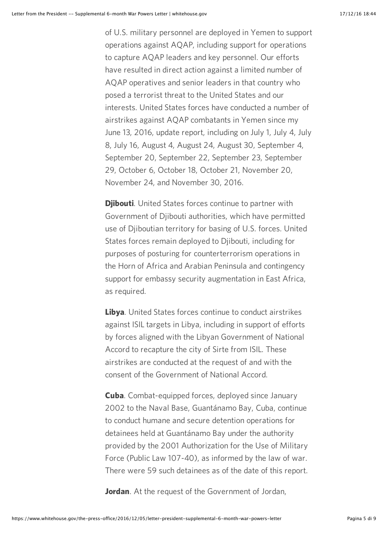of U.S. military personnel are deployed in Yemen to support operations against AQAP, including support for operations to capture AQAP leaders and key personnel. Our efforts have resulted in direct action against a limited number of AQAP operatives and senior leaders in that country who posed a terrorist threat to the United States and our interests. United States forces have conducted a number of airstrikes against AQAP combatants in Yemen since my June 13, 2016, update report, including on July 1, July 4, July 8, July 16, August 4, August 24, August 30, September 4, September 20, September 22, September 23, September 29, October 6, October 18, October 21, November 20, November 24, and November 30, 2016.

**Djibouti.** United States forces continue to partner with Government of Djibouti authorities, which have permitted use of Djiboutian territory for basing of U.S. forces. United States forces remain deployed to Djibouti, including for purposes of posturing for counterterrorism operations in the Horn of Africa and Arabian Peninsula and contingency support for embassy security augmentation in East Africa, as required.

Libya. United States forces continue to conduct airstrikes against ISIL targets in Libya, including in support of efforts by forces aligned with the Libyan Government of National Accord to recapture the city of Sirte from ISIL. These airstrikes are conducted at the request of and with the consent of the Government of National Accord.

**Cuba.** Combat-equipped forces, deployed since January 2002 to the Naval Base, Guantánamo Bay, Cuba, continue to conduct humane and secure detention operations for detainees held at Guantánamo Bay under the authority provided by the 2001 Authorization for the Use of Military Force (Public Law 107-40), as informed by the law of war. There were 59 such detainees as of the date of this report.

**Jordan**. At the request of the Government of Jordan,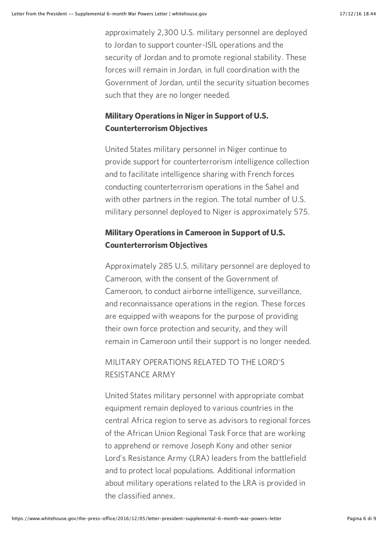approximately 2,300 U.S. military personnel are deployed to Jordan to support counter-ISIL operations and the security of Jordan and to promote regional stability. These forces will remain in Jordan, in full coordination with the Government of Jordan, until the security situation becomes such that they are no longer needed.

### Military Operations in Niger in Support of U.S. Counterterrorism Objectives

United States military personnel in Niger continue to provide support for counterterrorism intelligence collection and to facilitate intelligence sharing with French forces conducting counterterrorism operations in the Sahel and with other partners in the region. The total number of U.S. military personnel deployed to Niger is approximately 575.

## Military Operations in Cameroon in Support of U.S. Counterterrorism Objectives

Approximately 285 U.S. military personnel are deployed to Cameroon, with the consent of the Government of Cameroon, to conduct airborne intelligence, surveillance, and reconnaissance operations in the region. These forces are equipped with weapons for the purpose of providing their own force protection and security, and they will remain in Cameroon until their support is no longer needed.

## MILITARY OPERATIONS RELATED TO THE LORD'S RESISTANCE ARMY

United States military personnel with appropriate combat equipment remain deployed to various countries in the central Africa region to serve as advisors to regional forces of the African Union Regional Task Force that are working to apprehend or remove Joseph Kony and other senior Lord's Resistance Army (LRA) leaders from the battlefield and to protect local populations. Additional information about military operations related to the LRA is provided in the classified annex.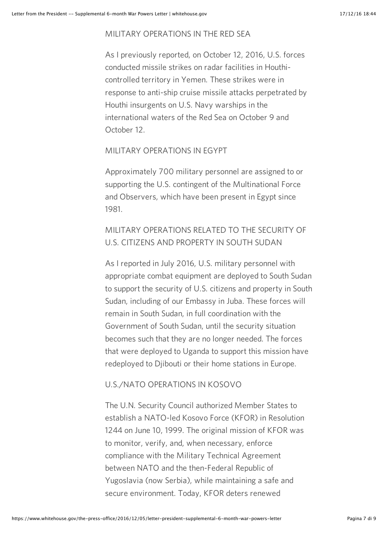#### MILITARY OPERATIONS IN THE RED SEA

As I previously reported, on October 12, 2016, U.S. forces conducted missile strikes on radar facilities in Houthicontrolled territory in Yemen. These strikes were in response to anti-ship cruise missile attacks perpetrated by Houthi insurgents on U.S. Navy warships in the international waters of the Red Sea on October 9 and October 12.

#### MILITARY OPERATIONS IN EGYPT

Approximately 700 military personnel are assigned to or supporting the U.S. contingent of the Multinational Force and Observers, which have been present in Egypt since 1981.

## MILITARY OPERATIONS RELATED TO THE SECURITY OF U.S. CITIZENS AND PROPERTY IN SOUTH SUDAN

As I reported in July 2016, U.S. military personnel with appropriate combat equipment are deployed to South Sudan to support the security of U.S. citizens and property in South Sudan, including of our Embassy in Juba. These forces will remain in South Sudan, in full coordination with the Government of South Sudan, until the security situation becomes such that they are no longer needed. The forces that were deployed to Uganda to support this mission have redeployed to Djibouti or their home stations in Europe.

#### U.S./NATO OPERATIONS IN KOSOVO

The U.N. Security Council authorized Member States to establish a NATO-led Kosovo Force (KFOR) in Resolution 1244 on June 10, 1999. The original mission of KFOR was to monitor, verify, and, when necessary, enforce compliance with the Military Technical Agreement between NATO and the then-Federal Republic of Yugoslavia (now Serbia), while maintaining a safe and secure environment. Today, KFOR deters renewed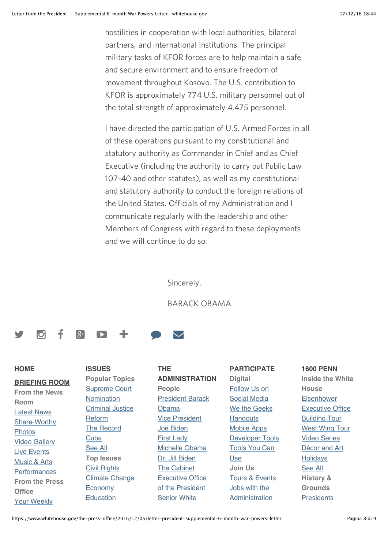hostilities in cooperation with local authorities, bilateral partners, and international institutions. The principal military tasks of KFOR forces are to help maintain a safe and secure environment and to ensure freedom of movement throughout Kosovo. The U.S. contribution to KFOR is approximately 774 U.S. military personnel out of the total strength of approximately 4,475 personnel.

I have directed the participation of U.S. Armed Forces in all of these operations pursuant to my constitutional and statutory authority as Commander in Chief and as Chief Executive (including the authority to carry out Public Law 107-40 and other statutes), as well as my constitutional and statutory authority to conduct the foreign relations of the United States. Officials of my Administration and I communicate regularly with the leadership and other Members of Congress with regard to these deployments and we will continue to do so.

Sincerely,

BARACK OBAMA

## **9 8 8 8 4 9 8**

#### **HOME**

**BRIEFING ROOM**

**From the News Room** [Latest News](https://www.whitehouse.gov/blog) [Share-Worthy](https://www.whitehouse.gov/share) [Photos](https://www.whitehouse.gov/photos) [Video Gallery](https://www.whitehouse.gov/video) [Live Events](https://www.whitehouse.gov/live) Music & Arts **[Performances](https://www.whitehouse.gov/performances) From the Press Office** [Your Weekly](https://www.whitehouse.gov/briefing-room/weekly-address)

**ISSUES Popular Topics** [Supreme Court](https://www.whitehouse.gov/scotus) Nomination [Criminal Justice](https://www.whitehouse.gov/issues/criminal-justice-reform) Reform [The Record](https://www.whitehouse.gov/the-record) **[Cuba](https://www.whitehouse.gov/issues/foreign-policy/cuba)** [See All](https://www.whitehouse.gov/issues) **Top Issues** [Civil Rights](https://www.whitehouse.gov/issues/civil-rights) [Climate Change](https://www.whitehouse.gov/climate-change) **[Economy](https://www.whitehouse.gov/economy)** [Education](https://www.whitehouse.gov/education)

**THE ADMINISTRATION People** [President Barack](https://www.whitehouse.gov/administration/president-obama) Obama [Vice President](https://www.whitehouse.gov/administration/vice-president-biden) Joe Biden First Lady [Michelle Obama](https://www.whitehouse.gov/administration/first-lady-michelle-obama) [Dr. Jill Biden](https://www.whitehouse.gov/administration/jill-biden) [The Cabinet](https://www.whitehouse.gov/administration/cabinet) [Executive Office](https://www.whitehouse.gov/administration/eop) of the President [Senior White](https://www.whitehouse.gov/administration/senior-leadership)

**PARTICIPATE Digital** [Follow Us on](https://www.whitehouse.gov/engage/social-hub) Social Media [We the Geeks](https://www.whitehouse.gov/we-the-geeks) **Hangouts** [Mobile Apps](https://www.whitehouse.gov/mobile) [Developer Tools](https://www.whitehouse.gov/developers) [Tools You Can](https://www.whitehouse.gov/tools) Use **Join Us** [Tours & Events](https://www.whitehouse.gov/participate/tours-and-events) Jobs with the [Administration](https://apply.whitehouse.gov/)

#### **1600 PENN**

**Inside the White House Eisenhower** [Executive Office](https://www.whitehouse.gov/about/inside-white-house/eeob-tour) Building Tour [West Wing Tour](https://www.whitehouse.gov/about/inside-white-house/west-wing-tour) [Video Series](https://www.whitehouse.gov/about/inside-white-house/video-series) [Décor and Art](https://www.whitehouse.gov/about/inside-white-house/art) **[Holidays](https://www.whitehouse.gov/holidays)** [See All](https://www.whitehouse.gov/about/inside-white-house) **History & Grounds [Presidents](https://www.whitehouse.gov/1600/Presidents)**